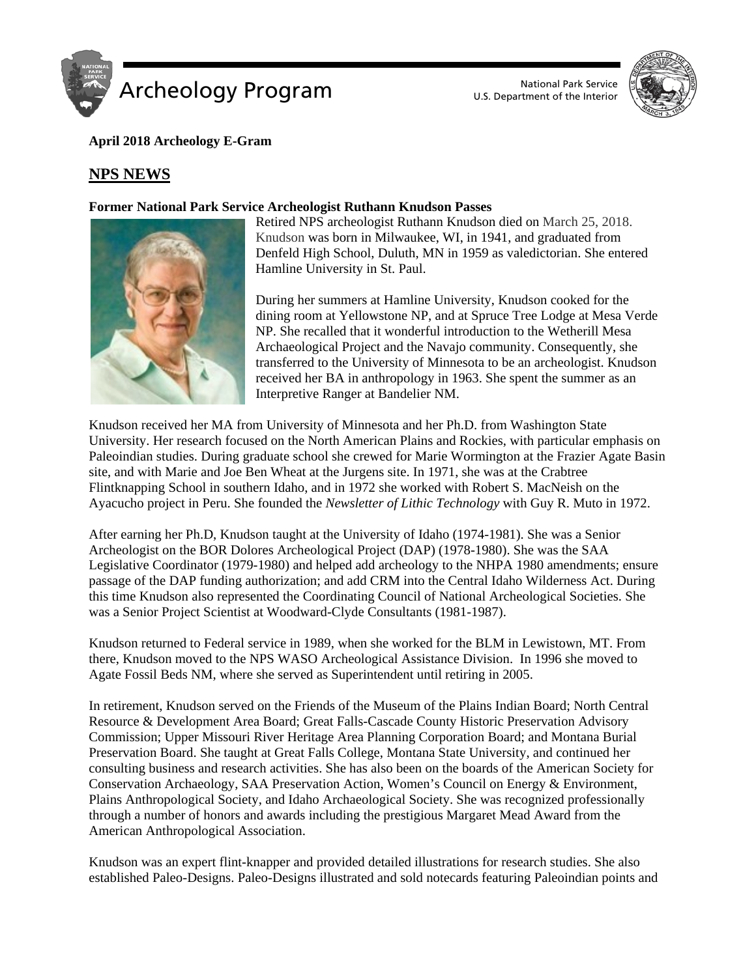



# **April 2018 Archeology E-Gram**

# **NPS NEWS**

## **Former National Park Service Archeologist Ruthann Knudson Passes**



Retired NPS archeologist Ruthann Knudson died on March 25, 2018. Knudson was born in Milwaukee, WI, in 1941, and graduated from Denfeld High School, Duluth, MN in 1959 as valedictorian. She entered Hamline University in St. Paul.

During her summers at Hamline University, Knudson cooked for the dining room at Yellowstone NP, and at Spruce Tree Lodge at Mesa Verde NP. She recalled that it wonderful introduction to the Wetherill Mesa Archaeological Project and the Navajo community. Consequently, she transferred to the University of Minnesota to be an archeologist. Knudson received her BA in anthropology in 1963. She spent the summer as an Interpretive Ranger at Bandelier NM.

Knudson received her MA from University of Minnesota and her Ph.D. from Washington State University. Her research focused on the North American Plains and Rockies, with particular emphasis on Paleoindian studies. During graduate school she crewed for Marie Wormington at the Frazier Agate Basin site, and with Marie and Joe Ben Wheat at the Jurgens site. In 1971, she was at the Crabtree Flintknapping School in southern Idaho, and in 1972 she worked with Robert S. MacNeish on the Ayacucho project in Peru. She founded the *Newsletter of Lithic Technology* with Guy R. Muto in 1972.

After earning her Ph.D, Knudson taught at the University of Idaho (1974-1981). She was a Senior Archeologist on the BOR Dolores Archeological Project (DAP) (1978-1980). She was the SAA Legislative Coordinator (1979-1980) and helped add archeology to the NHPA 1980 amendments; ensure passage of the DAP funding authorization; and add CRM into the Central Idaho Wilderness Act. During this time Knudson also represented the Coordinating Council of National Archeological Societies. She was a Senior Project Scientist at Woodward-Clyde Consultants (1981-1987).

Knudson returned to Federal service in 1989, when she worked for the BLM in Lewistown, MT. From there, Knudson moved to the NPS WASO Archeological Assistance Division. In 1996 she moved to Agate Fossil Beds NM, where she served as Superintendent until retiring in 2005.

In retirement, Knudson served on the Friends of the Museum of the Plains Indian Board; North Central Resource & Development Area Board; Great Falls-Cascade County Historic Preservation Advisory Commission; Upper Missouri River Heritage Area Planning Corporation Board; and Montana Burial Preservation Board. She taught at Great Falls College, Montana State University, and continued her consulting business and research activities. She has also been on the boards of the American Society for Conservation Archaeology, SAA Preservation Action, Women's Council on Energy & Environment, Plains Anthropological Society, and Idaho Archaeological Society. She was recognized professionally through a number of honors and awards including the prestigious Margaret Mead Award from the American Anthropological Association.

Knudson was an expert flint-knapper and provided detailed illustrations for research studies. She also established Paleo-Designs. Paleo-Designs illustrated and sold notecards featuring Paleoindian points and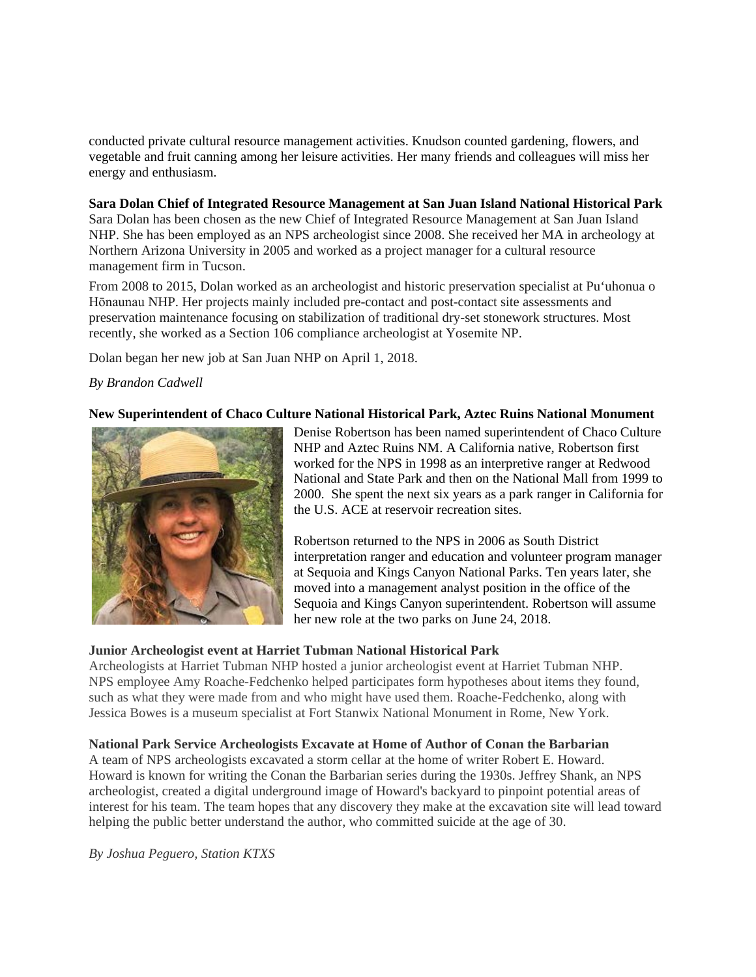conducted private cultural resource management activities. Knudson counted gardening, flowers, and vegetable and fruit canning among her leisure activities. Her many friends and colleagues will miss her energy and enthusiasm.

#### **Sara Dolan Chief of Integrated Resource Management at San Juan Island National Historical Park**

Sara Dolan has been chosen as the new Chief of Integrated Resource Management at San Juan Island NHP. She has been employed as an NPS archeologist since 2008. She received her MA in archeology at Northern Arizona University in 2005 and worked as a project manager for a cultural resource management firm in Tucson.

From 2008 to 2015, Dolan worked as an archeologist and historic preservation specialist at Pu'uhonua o Hōnaunau NHP. Her projects mainly included pre-contact and post-contact site assessments and preservation maintenance focusing on stabilization of traditional dry-set stonework structures. Most recently, she worked as a Section 106 compliance archeologist at Yosemite NP.

Dolan began her new job at San Juan NHP on April 1, 2018.

# *By Brandon Cadwell*

## **New Superintendent of Chaco Culture National Historical Park, Aztec Ruins National Monument**



Denise Robertson has been named superintendent of Chaco Culture NHP and Aztec Ruins NM. A California native, Robertson first worked for the NPS in 1998 as an interpretive ranger at Redwood National and State Park and then on the National Mall from 1999 to 2000. She spent the next six years as a park ranger in California for the U.S. ACE at reservoir recreation sites.

Robertson returned to the NPS in 2006 as South District interpretation ranger and education and volunteer program manager at Sequoia and Kings Canyon National Parks. Ten years later, she moved into a management analyst position in the office of the Sequoia and Kings Canyon superintendent. Robertson will assume her new role at the two parks on June 24, 2018.

## **Junior Archeologist event at Harriet Tubman National Historical Park**

Archeologists at Harriet Tubman NHP hosted a junior archeologist event at Harriet Tubman NHP. NPS employee Amy Roache-Fedchenko helped participates form hypotheses about items they found, such as what they were made from and who might have used them. Roache-Fedchenko, along with Jessica Bowes is a museum specialist at Fort Stanwix National Monument in Rome, New York.

# **National Park Service Archeologists Excavate at Home of Author of Conan the Barbarian**

A team of NPS archeologists excavated a storm cellar at the home of writer Robert E. Howard. Howard is known for writing the Conan the Barbarian series during the 1930s. Jeffrey Shank, an NPS archeologist, created a digital underground image of Howard's backyard to pinpoint potential areas of interest for his team. The team hopes that any discovery they make at the excavation site will lead toward helping the public better understand the author, who committed suicide at the age of 30.

*By Joshua Peguero, Station KTXS*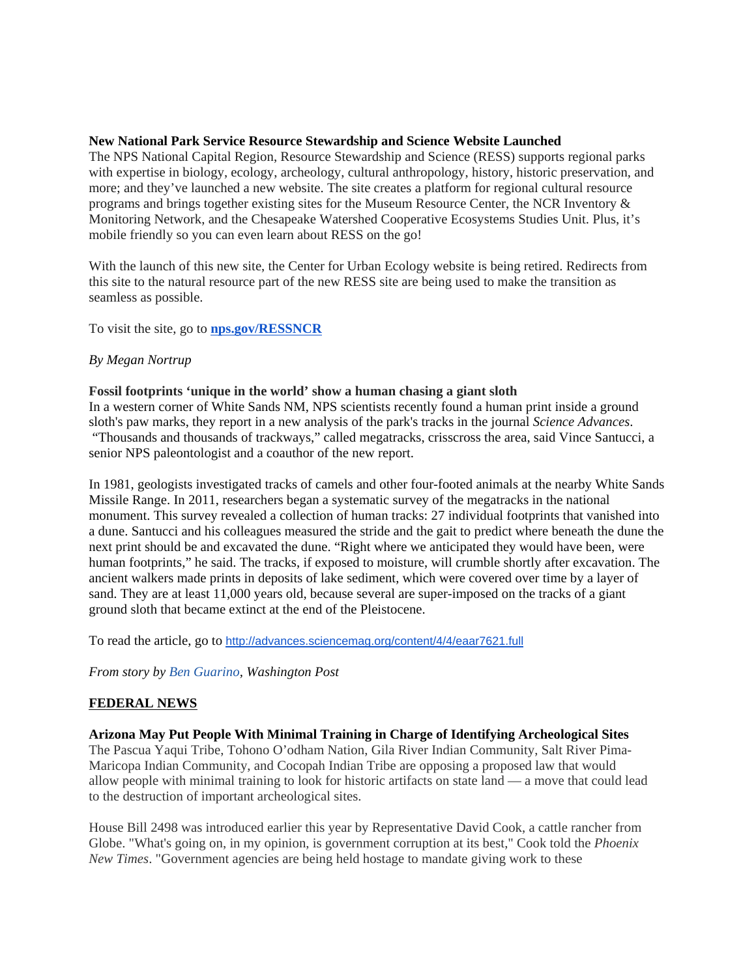#### **New National Park Service Resource Stewardship and Science Website Launched**

The NPS National Capital Region, Resource Stewardship and Science (RESS) supports regional parks with expertise in biology, ecology, archeology, cultural anthropology, history, historic preservation, and more; and they've launched a new website. The site creates a platform for regional cultural resource programs and brings together existing sites for the Museum Resource Center, the NCR Inventory & Monitoring Network, and the Chesapeake Watershed Cooperative Ecosystems Studies Unit. Plus, it's mobile friendly so you can even learn about RESS on the go!

With the launch of this new site, the Center for Urban Ecology website is being retired. Redirects from this site to the natural resource part of the new RESS site are being used to make the transition as seamless as possible.

To visit the site, go to **[nps.gov/RESSNCR](http://www.google.com/url?q=http%3A%2F%2Fnps.gov%2FRESSNCR&sa=D&sntz=1&usg=AFQjCNE0Pcb50rOFymFXcQh_fDeymvj-9w)**

# *By Megan Nortrup*

## **Fossil footprints 'unique in the world' show a human chasing a giant sloth**

In a western corner of White Sands NM, NPS scientists recently found a human print inside a ground sloth's paw marks, they report in a new analysis of the park's tracks in the journal *Science Advances*. "Thousands and thousands of trackways," called megatracks, crisscross the area, said Vince Santucci, a senior NPS paleontologist and a coauthor of the new report.

In 1981, geologists investigated tracks of camels and other four-footed animals at the nearby White Sands Missile Range. In 2011, researchers began a systematic survey of the megatracks in the national monument. This survey revealed a collection of human tracks: 27 individual footprints that vanished into a dune. Santucci and his colleagues measured the stride and the gait to predict where beneath the dune the next print should be and excavated the dune. "Right where we anticipated they would have been, were human footprints," he said. The tracks, if exposed to moisture, will crumble shortly after excavation. The ancient walkers made prints in deposits of lake sediment, which were covered over time by a layer of sand. They are at least 11,000 years old, because several are super-imposed on the tracks of a giant ground sloth that became extinct at the end of the Pleistocene.

To read the article, go to <http://advances.sciencemag.org/content/4/4/eaar7621.full>

*From story by [Ben Guarino,](https://www.washingtonpost.com/people/ben-guarino/) Washington Post*

## **FEDERAL NEWS**

**Arizona May Put People With Minimal Training in Charge of Identifying Archeological Sites** The Pascua Yaqui Tribe, Tohono O'odham Nation, Gila River Indian Community, Salt River Pima-Maricopa Indian Community, and Cocopah Indian Tribe are opposing a proposed law that would allow people with minimal training to look for historic artifacts on state land — a move that could lead to the destruction of important archeological sites.

House Bill 2498 was introduced earlier this year by Representative David Cook, a cattle rancher from Globe. "What's going on, in my opinion, is government corruption at its best," Cook told the *Phoenix New Times*. "Government agencies are being held hostage to mandate giving work to these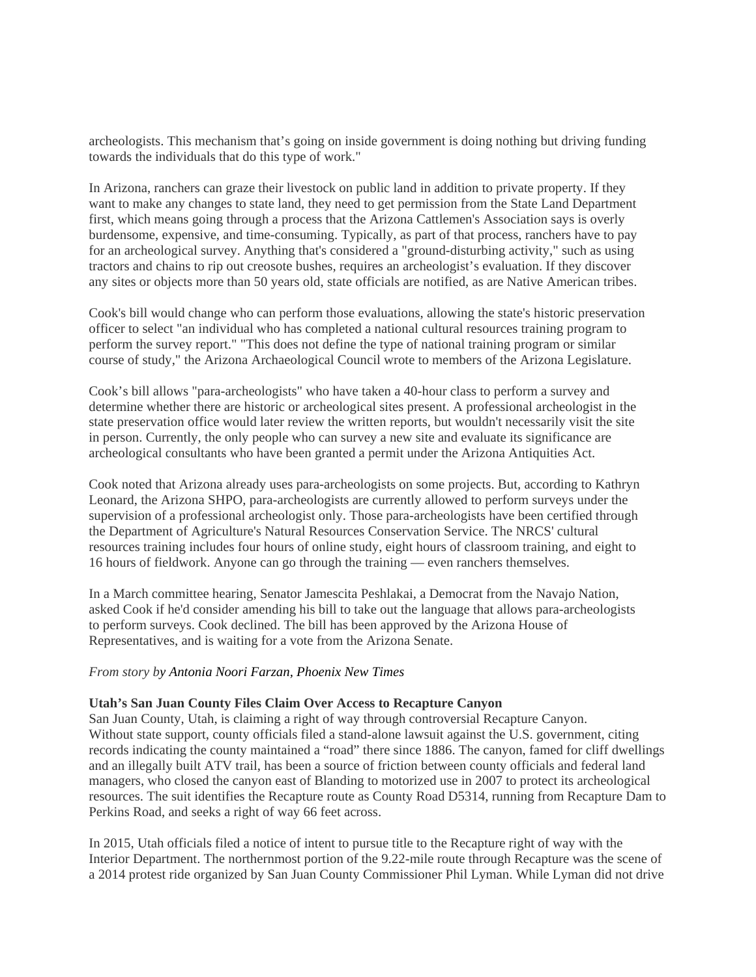archeologists. This mechanism that's going on inside government is doing nothing but driving funding towards the individuals that do this type of work."

In Arizona, ranchers can graze their livestock on public land in addition to private property. If they want to make any changes to state land, they need to get permission from the State Land Department first, which means going through a process that the Arizona Cattlemen's Association says is overly burdensome, expensive, and time-consuming. Typically, as part of that process, ranchers have to pay for an archeological survey. Anything that's considered a "ground-disturbing activity," such as using tractors and chains to rip out creosote bushes, requires an archeologist's evaluation. If they discover any sites or objects more than 50 years old, state officials are notified, as are Native American tribes.

Cook's bill would change who can perform those evaluations, allowing the state's historic preservation officer to select "an individual who has completed a national cultural resources training program to perform the survey report." "This does not define the type of national training program or similar course of study," the Arizona Archaeological Council wrote to members of the Arizona Legislature.

Cook's bill allows "para-archeologists" who have taken a 40-hour class to perform a survey and determine whether there are historic or archeological sites present. A professional archeologist in the state preservation office would later review the written reports, but wouldn't necessarily visit the site in person. Currently, the only people who can survey a new site and evaluate its significance are archeological consultants who have been granted a permit under the Arizona Antiquities Act.

Cook noted that Arizona already uses para-archeologists on some projects. But, according to Kathryn Leonard, the Arizona SHPO, para-archeologists are currently allowed to perform surveys under the supervision of a professional archeologist only. Those para-archeologists have been certified through the Department of Agriculture's Natural Resources Conservation Service. The NRCS' cultural resources training includes four hours of online study, eight hours of classroom training, and eight to 16 hours of fieldwork. Anyone can go through the training — even ranchers themselves.

In a March committee hearing, Senator Jamescita Peshlakai, a Democrat from the Navajo Nation, asked Cook if he'd consider amending his bill to take out the language that allows para-archeologists to perform surveys. Cook declined. The bill has been approved by the Arizona House of Representatives, and is waiting for a vote from the Arizona Senate.

#### *From story by Antonia Noori Farzan, Phoenix New Times*

#### **Utah's San Juan County Files Claim Over Access to Recapture Canyon**

San Juan County, Utah, is claiming a right of way through controversial Recapture Canyon. Without state support, county officials filed a stand-alone lawsuit against the U.S. government, citing records indicating the county maintained a "road" there since 1886. The canyon, famed for cliff dwellings and an illegally built ATV trail, has been a source of friction between county officials and federal land managers, who closed the canyon east of Blanding to motorized use in 2007 to protect its archeological resources. The suit identifies the Recapture route as County Road D5314, running from Recapture Dam to Perkins Road, and seeks a right of way 66 feet across.

In 2015, Utah officials filed a notice of intent to pursue title to the Recapture right of way with the Interior Department. The northernmost portion of the 9.22-mile route through Recapture was the scene of a 2014 protest ride organized by San Juan County Commissioner Phil Lyman. While Lyman did not drive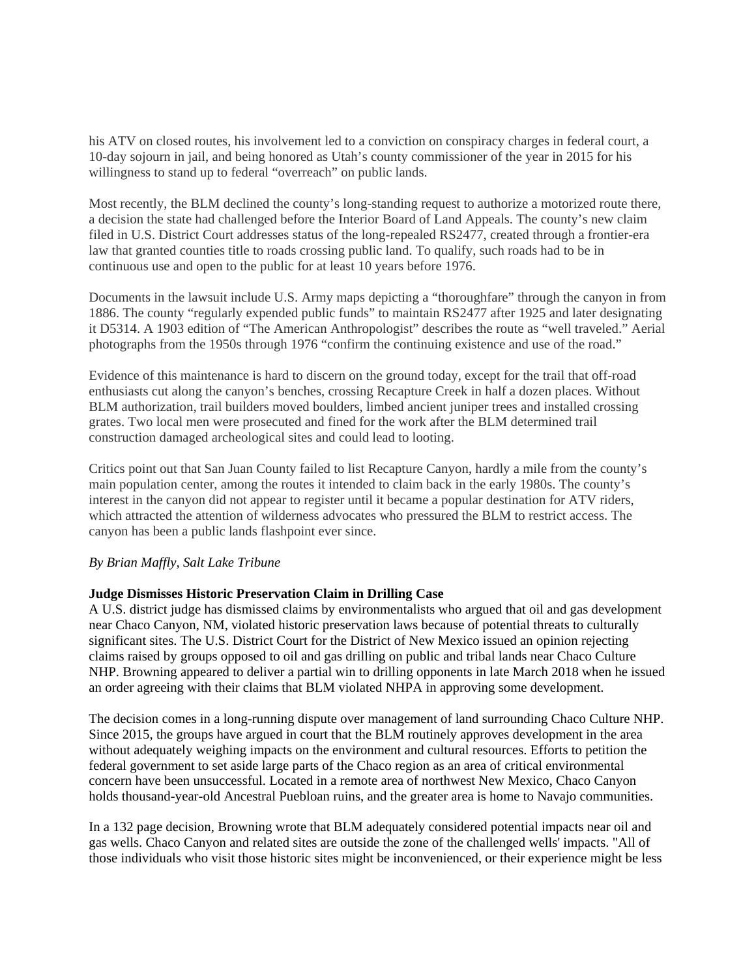his ATV on closed routes, his involvement led to a conviction on conspiracy charges in federal court, a 10-day sojourn in jail, and being honored as Utah's county commissioner of the year in 2015 for his willingness to stand up to federal "overreach" on public lands.

Most recently, the BLM declined the county's long-standing request to authorize a motorized route there, a decision the state had challenged before the Interior Board of Land Appeals. The county's new claim filed in U.S. District Court addresses status of the long-repealed RS2477, created through a frontier-era law that granted counties title to roads crossing public land. To qualify, such roads had to be in continuous use and open to the public for at least 10 years before 1976.

Documents in the lawsuit include U.S. Army maps depicting a "thoroughfare" through the canyon in from 1886. The county "regularly expended public funds" to maintain RS2477 after 1925 and later designating it D5314. A 1903 edition of "The American Anthropologist" describes the route as "well traveled." Aerial photographs from the 1950s through 1976 "confirm the continuing existence and use of the road."

Evidence of this maintenance is hard to discern on the ground today, except for the trail that off-road enthusiasts cut along the canyon's benches, crossing Recapture Creek in half a dozen places. Without BLM authorization, trail builders moved boulders, limbed ancient juniper trees and installed crossing grates. Two local men were prosecuted and fined for the work after the BLM determined trail construction damaged archeological sites and could lead to looting.

Critics point out that San Juan County failed to list Recapture Canyon, hardly a mile from the county's main population center, among the routes it intended to claim back in the early 1980s. The county's interest in the canyon did not appear to register until it became a popular destination for ATV riders, which attracted the attention of wilderness advocates who pressured the BLM to restrict access. The canyon has been a public lands flashpoint ever since.

## *By Brian Maffly, Salt Lake Tribune*

## **Judge Dismisses Historic Preservation Claim in Drilling Case**

A U.S. district judge has dismissed claims by environmentalists who argued that oil and gas development near Chaco Canyon, NM, violated historic preservation laws because of potential threats to culturally significant sites. The U.S. District Court for the District of New Mexico issued an opinion rejecting claims raised by groups opposed to oil and gas drilling on public and tribal lands near Chaco Culture NHP. Browning appeared to deliver a partial win to drilling opponents in late March 2018 when he issued an order agreeing with their claims that BLM violated NHPA in approving some development.

The decision comes in a long-running dispute over management of land surrounding Chaco Culture NHP. Since 2015, the groups have argued in court that the BLM routinely approves development in the area without adequately weighing impacts on the environment and cultural resources. Efforts to petition the federal government to set aside large parts of the Chaco region as an area of critical environmental concern have been unsuccessful. Located in a remote area of northwest New Mexico, Chaco Canyon holds thousand-year-old Ancestral Puebloan ruins, and the greater area is home to Navajo communities.

In a 132 page decision, Browning wrote that BLM adequately considered potential impacts near oil and gas wells. Chaco Canyon and related sites are outside the zone of the challenged wells' impacts. "All of those individuals who visit those historic sites might be inconvenienced, or their experience might be less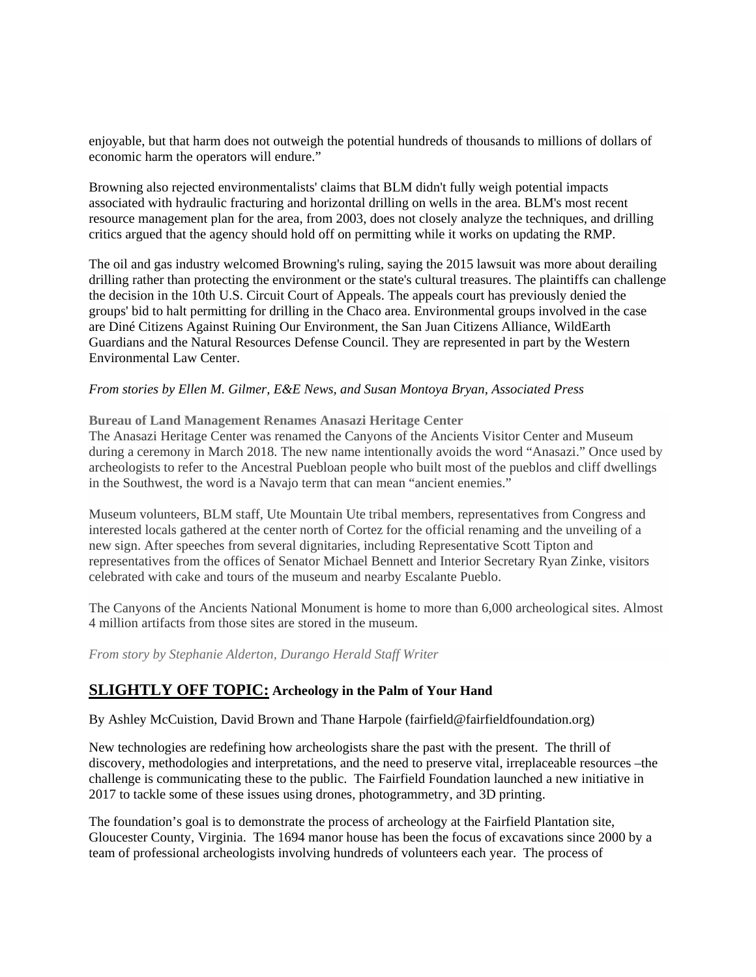enjoyable, but that harm does not outweigh the potential hundreds of thousands to millions of dollars of economic harm the operators will endure."

Browning also rejected environmentalists' claims that BLM didn't fully weigh potential impacts associated with hydraulic fracturing and horizontal drilling on wells in the area. BLM's most recent resource management plan for the area, from 2003, does not closely analyze the techniques, and drilling critics argued that the agency should hold off on permitting while it works on updating the RMP.

The oil and gas industry welcomed Browning's ruling, saying the 2015 lawsuit was more about derailing drilling rather than protecting the environment or the state's cultural treasures. The plaintiffs can challenge the decision in the 10th U.S. Circuit Court of Appeals. The appeals court has previously denied the groups' bid to halt permitting for drilling in the Chaco area. Environmental groups involved in the case are Diné Citizens Against Ruining Our Environment, the San Juan Citizens Alliance, WildEarth Guardians and the Natural Resources Defense Council. They are represented in part by the Western Environmental Law Center.

## *From stories by Ellen M. Gilmer, E&E News, and Susan Montoya Bryan, Associated Press*

#### **Bureau of Land Management Renames Anasazi Heritage Center**

The Anasazi Heritage Center was renamed the Canyons of the Ancients Visitor Center and Museum during a ceremony in March 2018. The new name intentionally avoids the word "Anasazi." Once used by archeologists to refer to the Ancestral Puebloan people who built most of the pueblos and cliff dwellings in the Southwest, the word is a Navajo term that can mean "ancient enemies."

Museum volunteers, BLM staff, Ute Mountain Ute tribal members, representatives from Congress and interested locals gathered at the center north of Cortez for the official renaming and the unveiling of a new sign. After speeches from several dignitaries, including Representative Scott Tipton and representatives from the offices of Senator Michael Bennett and Interior Secretary Ryan Zinke, visitors celebrated with cake and tours of the museum and nearby Escalante Pueblo.

The Canyons of the Ancients National Monument is home to more than 6,000 archeological sites. Almost 4 million artifacts from those sites are stored in the museum.

*From story by Stephanie Alderton, Durango Herald Staff Writer*

# **SLIGHTLY OFF TOPIC: Archeology in the Palm of Your Hand**

By Ashley McCuistion, David Brown and Thane Harpole (fairfield@fairfieldfoundation.org)

New technologies are redefining how archeologists share the past with the present. The thrill of discovery, methodologies and interpretations, and the need to preserve vital, irreplaceable resources –the challenge is communicating these to the public. The Fairfield Foundation launched a new initiative in 2017 to tackle some of these issues using drones, photogrammetry, and 3D printing.

The foundation's goal is to demonstrate the process of archeology at the Fairfield Plantation site, Gloucester County, Virginia. The 1694 manor house has been the focus of excavations since 2000 by a team of professional archeologists involving hundreds of volunteers each year. The process of